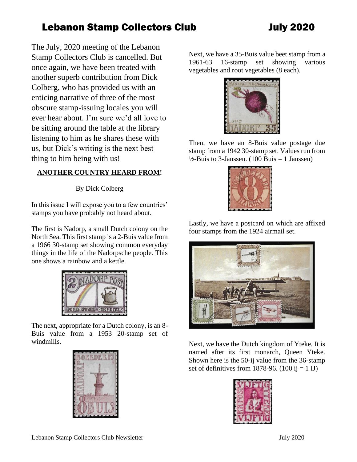The July, 2020 meeting of the Lebanon Stamp Collectors Club is cancelled. But once again, we have been treated with another superb contribution from Dick Colberg, who has provided us with an enticing narrative of three of the most obscure stamp-issuing locales you will ever hear about. I'm sure we'd all love to be sitting around the table at the library listening to him as he shares these with us, but Dick's writing is the next best thing to him being with us!

#### **ANOTHER COUNTRY HEARD FROM!**

By Dick Colberg

In this issue I will expose you to a few countries' stamps you have probably not heard about.

The first is Nadorp, a small Dutch colony on the North Sea. This first stamp is a 2-Buis value from a 1966 30-stamp set showing common everyday things in the life of the Nadorpsche people. This one shows a rainbow and a kettle.



The next, appropriate for a Dutch colony, is an 8- Buis value from a 1953 20-stamp set of windmills.



Next, we have a 35-Buis value beet stamp from a 1961-63 16-stamp set showing various vegetables and root vegetables (8 each).



Then, we have an 8-Buis value postage due stamp from a 1942 30-stamp set. Values run from  $\frac{1}{2}$ -Buis to 3-Janssen. (100 Buis = 1 Janssen)



Lastly, we have a postcard on which are affixed four stamps from the 1924 airmail set.



Next, we have the Dutch kingdom of Yteke. It is named after its first monarch, Queen Yteke. Shown here is the 50-ij value from the 36-stamp set of definitives from 1878-96.  $(100 \text{ ij} = 1 \text{ IJ})$ 

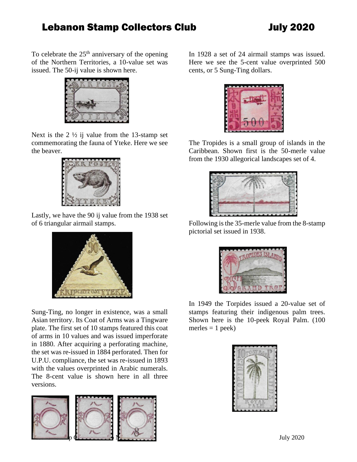To celebrate the  $25<sup>th</sup>$  anniversary of the opening of the Northern Territories, a 10-value set was issued. The 50-ij value is shown here.



Next is the  $2 \frac{1}{2}$  ij value from the 13-stamp set commemorating the fauna of Yteke. Here we see the beaver.



Lastly, we have the 90 ij value from the 1938 set of 6 triangular airmail stamps.



Sung-Ting, no longer in existence, was a small Asian territory. Its Coat of Arms was a Tingware plate. The first set of 10 stamps featured this coat of arms in 10 values and was issued imperforate in 1880. After acquiring a perforating machine, the set was re-issued in 1884 perforated. Then for U.P.U. compliance, the set was re-issued in 1893 with the values overprinted in Arabic numerals. The 8-cent value is shown here in all three versions.



In 1928 a set of 24 airmail stamps was issued. Here we see the 5-cent value overprinted 500 cents, or 5 Sung-Ting dollars.



The Tropides is a small group of islands in the Caribbean. Shown first is the 50-merle value from the 1930 allegorical landscapes set of 4.



Following is the 35-merle value from the 8-stamp pictorial set issued in 1938.



In 1949 the Torpides issued a 20-value set of stamps featuring their indigenous palm trees. Shown here is the 10-peek Royal Palm. (100 merles  $= 1$  peek)

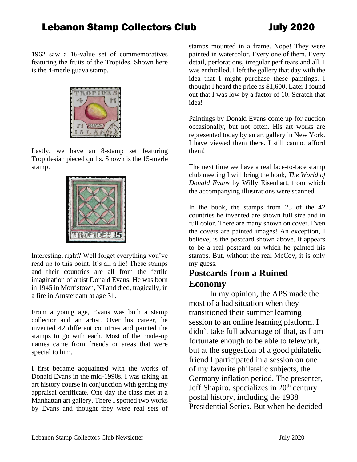1962 saw a 16-value set of commemoratives featuring the fruits of the Tropides. Shown here is the 4-merle guava stamp.



Lastly, we have an 8-stamp set featuring Tropidesian pieced quilts. Shown is the 15-merle stamp.



Interesting, right? Well forget everything you've read up to this point. It's all a lie! These stamps and their countries are all from the fertile imagination of artist Donald Evans. He was born in 1945 in Morristown, NJ and died, tragically, in a fire in Amsterdam at age 31.

From a young age, Evans was both a stamp collector and an artist. Over his career, he invented 42 different countries and painted the stamps to go with each. Most of the made-up names came from friends or areas that were special to him.

I first became acquainted with the works of Donald Evans in the mid-1990s. I was taking an art history course in conjunction with getting my appraisal certificate. One day the class met at a Manhattan art gallery. There I spotted two works by Evans and thought they were real sets of

stamps mounted in a frame. Nope! They were painted in watercolor. Every one of them. Every detail, perforations, irregular perf tears and all. I was enthralled. I left the gallery that day with the idea that I might purchase these paintings. I thought I heard the price as \$1,600. Later I found out that I was low by a factor of 10. Scratch that idea!

Paintings by Donald Evans come up for auction occasionally, but not often. His art works are represented today by an art gallery in New York. I have viewed them there. I still cannot afford them!

The next time we have a real face-to-face stamp club meeting I will bring the book, *The World of Donald Evans* by Willy Eisenhart, from which the accompanying illustrations were scanned.

In the book, the stamps from 25 of the 42 countries he invented are shown full size and in full color. There are many shown on cover. Even the covers are painted images! An exception, I believe, is the postcard shown above. It appears to be a real postcard on which he painted his stamps. But, without the real McCoy, it is only my guess.

#### **Postcards from a Ruined Economy**

In my opinion, the APS made the most of a bad situation when they transitioned their summer learning session to an online learning platform. I didn't take full advantage of that, as I am fortunate enough to be able to telework, but at the suggestion of a good philatelic friend I participated in a session on one of my favorite philatelic subjects, the Germany inflation period. The presenter, Jeff Shapiro, specializes in  $20<sup>th</sup>$  century postal history, including the 1938 Presidential Series. But when he decided